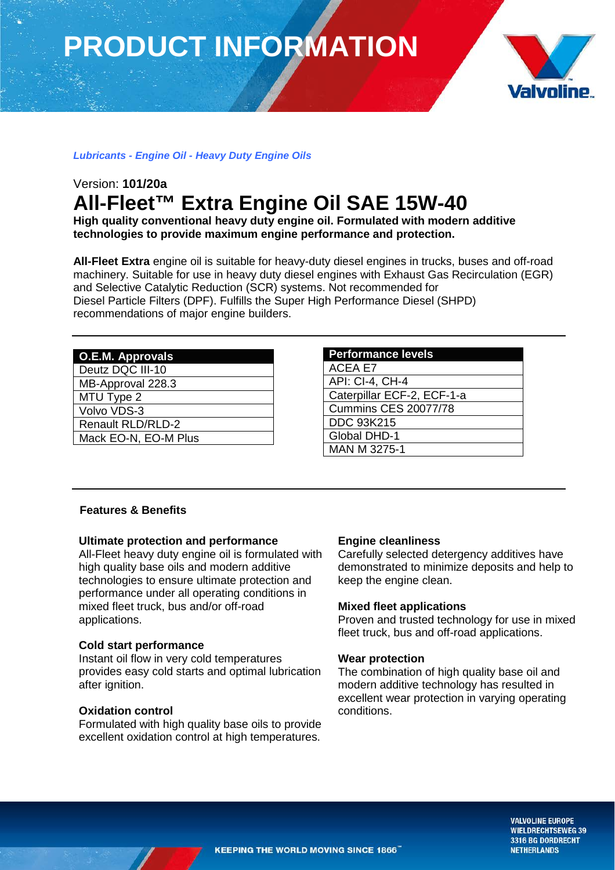# **PRODUCT INFORMATION**



## *Lubricants - Engine Oil - Heavy Duty Engine Oils*

# Version: **101/20a All-Fleet™ Extra Engine Oil SAE 15W-40**

**High quality conventional heavy duty engine oil. Formulated with modern additive technologies to provide maximum engine performance and protection.**

**All-Fleet Extra** engine oil is suitable for heavy-duty diesel engines in trucks, buses and off-road machinery. Suitable for use in heavy duty diesel engines with Exhaust Gas Recirculation (EGR) and Selective Catalytic Reduction (SCR) systems. Not recommended for Diesel Particle Filters (DPF). Fulfills the Super High Performance Diesel (SHPD) recommendations of major engine builders.

| O.E.M. Approvals         |
|--------------------------|
| Deutz DQC III-10         |
| MB-Approval 228.3        |
| MTU Type 2               |
| Volvo VDS-3              |
| <b>Renault RLD/RLD-2</b> |
| Mack EO-N, EO-M Plus     |
|                          |

# **Performance levels** ACEA E7 API: CI-4, CH-4 Caterpillar ECF-2, ECF-1-a Cummins CES 20077/78 DDC 93K215 Global DHD-1 MAN M 3275-1

### **Features & Benefits**

### **Ultimate protection and performance**

All-Fleet heavy duty engine oil is formulated with high quality base oils and modern additive technologies to ensure ultimate protection and performance under all operating conditions in mixed fleet truck, bus and/or off-road applications.

### **Cold start performance**

Instant oil flow in very cold temperatures provides easy cold starts and optimal lubrication after ignition.

### **Oxidation control**

Formulated with high quality base oils to provide excellent oxidation control at high temperatures.

### **Engine cleanliness**

Carefully selected detergency additives have demonstrated to minimize deposits and help to keep the engine clean.

# **Mixed fleet applications**

Proven and trusted technology for use in mixed fleet truck, bus and off-road applications.

### **Wear protection**

The combination of high quality base oil and modern additive technology has resulted in excellent wear protection in varying operating conditions.

> **VALVOLINE EUROPE WIELDRECHTSEWEG 39** 3316 BG DORDRECHT **NETHERLANDS**